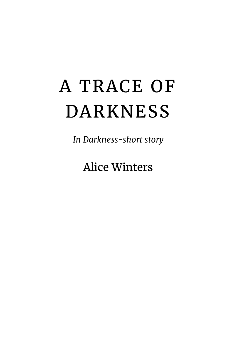## A TRACE OF DARKNESS

*In Darkness-short story*

Alice Winters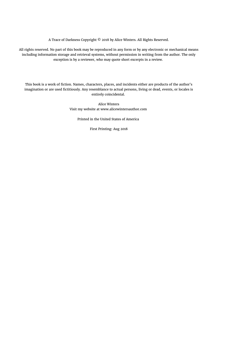A Trace of Darkness Copyright © 2018 by Alice Winters. All Rights Reserved.

All rights reserved. No part of this book may be reproduced in any form or by any electronic or mechanical means including information storage and retrieval systems, without permission in writing from the author. The only exception is by a reviewer, who may quote short excerpts in a review.

This book is a work of fiction. Names, characters, places, and incidents either are products of the author's imagination or are used fictitiously. Any resemblance to actual persons, living or dead, events, or locales is entirely coincidental.

> Alice Winters Visit my website at www.alicewintersauthor.com

Printed in the United States of America

First Printing: Aug 2018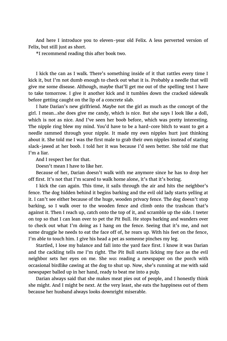And here I introduce you to eleven-year old Felix. A less perverted version of Felix, but still just as short.

\*I recommend reading this after book two.

I kick the can as I walk. There's something inside of it that rattles every time I kick it, but I'm not dumb enough to check out what it is. Probably a needle that will give me some disease. Although, maybe that'll get me out of the spelling test I have to take tomorrow. I give it another kick and it tumbles down the cracked sidewalk before getting caught on the lip of a concrete slab.

I hate Darian's new girlfriend. Maybe not the girl as much as the concept of the girl. I mean…she does give me candy, which is nice. But she says I look like a doll, which is not as nice. And I've seen her boob before, which was pretty interesting. The nipple ring blew my mind. You'd have to be a hard-core bitch to want to get a needle rammed through your nipple. It made my own nipples hurt just thinking about it. She told me I was the first male to grab their own nipples instead of staring slack-jawed at her boob. I told her it was because I'd seen better. She told me that I'm a liar.

And I respect her for that.

Doesn't mean I have to like her.

Because of her, Darian doesn't walk with me anymore since he has to drop her off first. It's not that I'm scared to walk home alone, it's that it's boring.

I kick the can again. This time, it sails through the air and hits the neighbor's fence. The dog hidden behind it begins barking and the evil old lady starts yelling at it. I can't see either because of the huge, wooden privacy fence. The dog doesn't stop barking, so I walk over to the wooden fence and climb onto the trashcan that's against it. Then I reach up, catch onto the top of it, and scramble up the side. I teeter on top so that I can lean over to pet the Pit Bull. He stops barking and wanders over to check out what I'm doing as I hang on the fence. Seeing that it's me, and not some druggie he needs to eat the face off of, he rears up. With his feet on the fence, I'm able to touch him. I give his head a pet as someone pinches my leg.

Startled, I lose my balance and fall into the yard face first. I know it was Darian and the cackling tells me I'm right. The Pit Bull starts licking my face as the evil neighbor sets her eyes on me. She *was* reading a newspaper on the porch with occasional birdlike cawing at the dog to shut up. Now, she's running at me with said newspaper balled up in her hand, ready to beat me into a pulp.

Darian always said that she makes meat pies out of people, and I honestly think she might. And I might be next. At the very least, she eats the happiness out of them because her husband always looks downright miserable.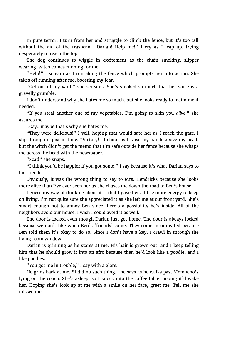In pure terror, I turn from her and struggle to climb the fence, but it's too tall without the aid of the trashcan. "Darian! Help me!" I cry as I leap up, trying desperately to reach the top.

The dog continues to wiggle in excitement as the chain smoking, slipper wearing, witch comes running for me.

"Help!" I scream as I run along the fence which prompts her into action. She takes off running after me, boosting my fear.

"Get out of my yard!" she screams. She's smoked so much that her voice is a gravelly grumble.

I don't understand why she hates me so much, but she looks ready to maim me if needed.

"If you steal another one of my vegetables, I'm going to skin you *alive*," she assures me.

Okay…maybe that's why she hates me.

"They were delicious!" I yell, hoping that would sate her as I reach the gate. I slip through it just in time. "Victory!" I shout as I raise my hands above my head, but the witch didn't get the memo that I'm safe outside her fence because she whaps me across the head with the newspaper.

"Scat!" she snaps.

"I think you'd be happier if you got some," I say because it's what Darian says to his friends.

Obviously, it was the wrong thing to say to Mrs. Hendricks because she looks more alive than I've ever seen her as she chases me down the road to Ben's house.

I guess my way of thinking about it is that I gave her a little more energy to keep on living. I'm not quite sure she appreciated it as she left me at our front yard. She's smart enough not to annoy Ben since there's a possibility he's inside. All of the neighbors avoid our house. I wish I could avoid it as well.

The door is locked even though Darian just got home. The door is always locked because we don't like when Ben's 'friends' come. They come in uninvited because Ben told them it's okay to do so. Since I don't have a key, I crawl in through the living room window.

Darian is grinning as he stares at me. His hair is grown out, and I keep telling him that he should grow it into an afro because then he'd look like a poodle, and I like poodles.

"You got me in trouble," I say with a glare.

He grins back at me. "I did no such thing," he says as he walks past Mom who's lying on the couch. She's asleep, so I knock into the coffee table, hoping it'd wake her. Hoping she's look up at me with a smile on her face, greet me. Tell me she missed me.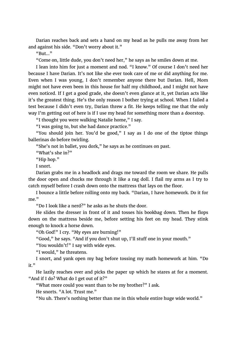Darian reaches back and sets a hand on my head as he pulls me away from her and against his side. "Don't worry about it."

 $R_{\rm BH}$  "

"Come on, little dude, you don't need her," he says as he smiles down at me.

I lean into him for just a moment and nod. "I know." Of course I don't need her because I have Darian. It's not like she ever took care of me or did anything for me. Even when I was young, I don't remember anyone there but Darian. Hell, Mom might not have even been in this house for half my childhood, and I might not have even noticed. If I get a good grade, she doesn't even glance at it, yet Darian acts like it's the greatest thing. He's the only reason I bother trying at school. When I failed a test because I didn't even try, Darian threw a fit. He keeps telling me that the only way I'm getting out of here is if I use my head for something more than a doorstop.

"I thought you were walking Natalie home," I say.

"I was going to, but she had dance practice."

"You should join her. You'd be good," I say as I do one of the tiptoe things ballerinas do before twirling.

"She's not in ballet, you dork," he says as he continues on past.

"What's she in?"

"Hip hop."

I snort.

Darian grabs me in a headlock and drags me toward the room we share. He pulls the door open and chucks me through it like a rag doll. I flail my arms as I try to catch myself before I crash down onto the mattress that lays on the floor.

I bounce a little before rolling onto my back. "Darian, I have homework. Do it for me."

"Do I look like a nerd?" he asks as he shuts the door.

He slides the dresser in front of it and tosses his bookbag down. Then he flops down on the mattress beside me, before setting his feet on my head. They stink enough to knock a horse down.

"Oh God!" I cry. "My eyes are burning!"

"Good," he says. "And if you don't shut up, I'll stuff one in your mouth."

"You wouldn't!" I say with wide eyes.

"I would," he threatens.

I snort, and yank open my bag before tossing my math homework at him. "Do it."

He lazily reaches over and picks the paper up which he stares at for a moment. "And if I do? What do I get out of it?"

"What more could you want than to be my brother?" I ask.

He snorts. "A lot. Trust me."

"Nu uh. There's nothing better than me in this whole entire huge wide world."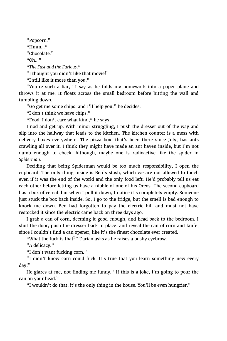"Popcorn."  $"Hmm..."$ "Chocolate." "Oh…" "*The Fast and the Furious*." "I thought you didn't like that movie!" "I still like it more than you."

"You're such a liar," I say as he folds my homework into a paper plane and throws it at me. It floats across the small bedroom before hitting the wall and tumbling down.

"Go get me some chips, and I'll help you," he decides.

"I don't think we have chips."

"Food. I don't care what kind," he says.

I nod and get up. With minor struggling, I push the dresser out of the way and slip into the hallway that leads to the kitchen. The kitchen counter is a mess with delivery boxes everywhere. The pizza box, that's been there since July, has ants crawling all over it. I think they might have made an ant haven inside, but I'm not dumb enough to check. Although, maybe one is radioactive like the spider in *Spiderman.* 

Deciding that being Spiderman would be too much responsibility, I open the cupboard. The only thing inside is Ben's stash, which we are not allowed to touch even if it was the end of the world and the only food left. He'd probably tell us eat each other before letting us have a nibble of one of his Oreos. The second cupboard has a box of cereal, but when I pull it down, I notice it's completely empty. Someone just stuck the box back inside. So, I go to the fridge, but the smell is bad enough to knock me down. Ben had forgotten to pay the electric bill and must not have restocked it since the electric came back on three days ago.

I grab a can of corn, deeming it good enough, and head back to the bedroom. I shut the door, push the dresser back in place, and reveal the can of corn and knife, since I couldn't find a can opener, like it's the finest chocolate ever created.

"What the fuck is that?" Darian asks as he raises a bushy eyebrow.

"A delicacy."

"I don't want fucking corn."

"I didn't know corn could fuck. It's true that you learn something new every day!"

He glares at me, not finding me funny. "If this is a joke, I'm going to pour the can on your head."

"I wouldn't do that, it's the only thing in the house. You'll be even hungrier."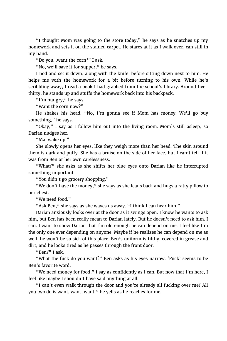"I thought Mom was going to the store today," he says as he snatches up my homework and sets it on the stained carpet. He stares at it as I walk over, can still in my hand.

"Do you…want the corn?" I ask.

"No, we'll save it for supper," he says.

I nod and set it down, along with the knife, before sitting down next to him. He helps me with the homework for a bit before turning to his own. While he's scribbling away, I read a book I had grabbed from the school's library. Around fivethirty, he stands up and stuffs the homework back into his backpack.

"I'm hungry," he says.

"Want the corn now?"

He shakes his head. "No, I'm gonna see if Mom has money. We'll go buy something," he says.

"Okay," I say as I follow him out into the living room. Mom's still asleep, so Darian nudges her.

"Ma, wake up."

She slowly opens her eyes, like they weigh more than her head. The skin around them is dark and puffy. She has a bruise on the side of her face, but I can't tell if it was from Ben or her own carelessness.

"What?" she asks as she shifts her blue eyes onto Darian like he interrupted something important.

"You didn't go grocery shopping."

"We don't have the money," she says as she leans back and hugs a ratty pillow to her chest.

"We need food."

"Ask Ben," she says as she waves us away. "I think I can hear him."

Darian anxiously looks over at the door as it swings open. I know he wants to ask him, but Ben has been really mean to Darian lately. But he doesn't need to ask him. I can. I want to show Darian that I'm old enough he can depend on me. I feel like I'm the only one ever depending on anyone. Maybe if he realizes he can depend on me as well, he won't be so sick of this place. Ben's uniform is filthy, covered in grease and dirt, and he looks tired as he passes through the front door.

"Ben?" I ask.

"What the fuck do you want?" Ben asks as his eyes narrow. 'Fuck' seems to be Ben's favorite word.

"We need money for food," I say as confidently as I can. But now that I'm here, I feel like maybe I shouldn't have said anything at all.

"I can't even walk through the door and you're already all fucking over me? All you two do is want, want, want!" he yells as he reaches for me.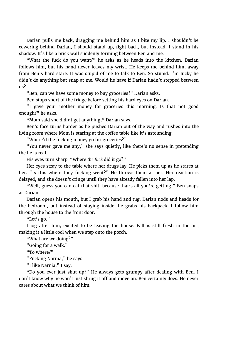Darian pulls me back, dragging me behind him as I bite my lip. I shouldn't be cowering behind Darian, I should stand up, fight back, but instead, I stand in his shadow. It's like a brick wall suddenly forming between Ben and me.

"What the fuck do you want?" he asks as he heads into the kitchen. Darian follows him, but his hand never leaves my wrist. He keeps me behind him, away from Ben's hard stare. It was stupid of me to talk to Ben. So stupid. I'm lucky he didn't do anything but snap at me. Would he have if Darian hadn't stepped between us?

"Ben, can we have some money to buy groceries?" Darian asks.

Ben stops short of the fridge before setting his hard eyes on Darian.

"I gave your mother money for groceries this morning. Is that not good enough?" he asks.

"Mom said she didn't get anything," Darian says.

Ben's face turns harder as he pushes Darian out of the way and rushes into the living room where Mom is staring at the coffee table like it's astounding.

"Where'd the fucking money go for groceries?"

"You never gave me any," she says quietly, like there's no sense in pretending the lie is real.

His eyes turn sharp. "Where *the fuck* did it go?"

Her eyes stray to the table where her drugs lay. He picks them up as he stares at her. "Is this where they fucking went?" He throws them at her. Her reaction is delayed, and she doesn't cringe until they have already fallen into her lap.

"Well, guess you can eat that shit, because that's all you're getting," Ben snaps at Darian.

Darian opens his mouth, but I grab his hand and tug. Darian nods and heads for the bedroom, but instead of staying inside, he grabs his backpack. I follow him through the house to the front door.

"Let's go."

I jog after him, excited to be leaving the house. Fall is still fresh in the air, making it a little cool when we step onto the porch.

"What are we doing?"

"Going for a walk."

"To where?"

"Fucking Narnia," he says.

"I like Narnia," I say.

"Do you ever just shut up?" He always gets grumpy after dealing with Ben. I don't know why he won't just shrug it off and move on. Ben certainly does. He never cares about what we think of him.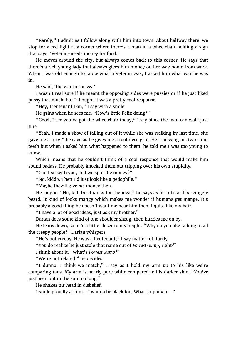"Rarely," I admit as I follow along with him into town. About halfway there, we stop for a red light at a corner where there's a man in a wheelchair holding a sign that says, 'Veteran-needs money for food.'

He moves around the city, but always comes back to this corner. He says that there's a rich young lady that always gives him money on her way home from work. When I was old enough to know what a Veteran was, I asked him what war he was in.

He said, 'the war for pussy.'

I wasn't real sure if he meant the opposing sides were pussies or if he just liked pussy that much, but I thought it was a pretty cool response.

"Hey, Lieutenant Dan," I say with a smile.

He grins when he sees me. "How's little Felix doing?"

"Good, I see you've got the wheelchair today," I say since the man can walk just fine.

"Yeah, I made a show of falling out of it while she was walking by last time, she gave me a fifty," he says as he gives me a toothless grin. He's missing his two front teeth but when I asked him what happened to them, he told me I was too young to know.

Which means that he couldn't think of a cool response that would make him sound badass. He probably knocked them out tripping over his own stupidity.

"Can I sit with you, and we split the money?"

"No, kiddo. Then I'd just look like a pedophile."

"Maybe they'll give *me* money then."

He laughs. "No, kid, but thanks for the idea," he says as he rubs at his scraggly beard. It kind of looks mangy which makes me wonder if humans get mange. It's probably a good thing he doesn't want me near him then. I quite like my hair.

"I have a lot of good ideas, just ask my brother."

Darian does some kind of one shoulder shrug, then hurries me on by.

He leans down, so he's a little closer to my height. "Why do you like talking to all the creepy people?" Darian whispers.

"He's not creepy. He was a lieutenant," I say matter-of-factly.

"You do realize he just stole that name out of *Forrest Gump*, right?"

I think about it. "What's *Forrest Gump?*"

"We're not related," he decides.

"I dunno. I think we match," I say as I hold my arm up to his like we're comparing tans. My arm is nearly pure white compared to his darker skin. "You've just been out in the sun too long."

He shakes his head in disbelief.

I smile proudly at him. "I wanna be black too. What's up my  $n-$ "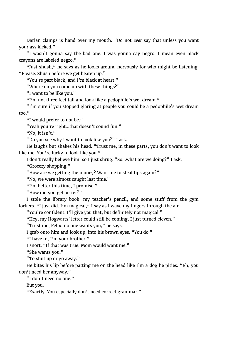Darian clamps is hand over my mouth. "Do not *ever* say that unless you want your ass kicked."

"I wasn't gonna say the bad one. I was gonna say negro. I mean even black crayons are labeled negro."

"Just shush," he says as he looks around nervously for who might be listening. "Please. Shush before we get beaten up."

"You're part black, and I'm black at heart."

"Where do you come up with these things?"

"I want to be like you."

"I'm not three feet tall and look like a pedophile's wet dream."

"I'm sure if you stopped glaring at people you could be a pedophile's wet dream too."

"I would prefer to not be."

"Yeah you're right…that doesn't sound fun."

"No, it isn't."

"Do you see why I want to look like you?" I ask.

He laughs but shakes his head. "Trust me, in these parts, you don't want to look like me. You're lucky to look like you."

I don't really believe him, so I just shrug. "So…what are we doing?" I ask.

"Grocery shopping."

"How are we getting the money? Want me to steal tips again?"

"No, we were almost caught last time."

"I'm better this time, I promise."

"How did you get better?"

I stole the library book, my teacher's pencil, and some stuff from the gym lockers. "I just did. I'm magical," I say as I wave my fingers through the air.

"You're confident, I'll give you that, but definitely not magical."

"Hey, my Hogwarts' letter could still be coming, I just turned eleven."

"Trust me, Felix, no one wants you," he says.

I grab onto him and look up, into his brown eyes. "You do."

"I have to, I'm your brother."

I snort. "If that was true, Mom would want me."

"She wants you."

"To shut up or go away."

He bites his lip before patting me on the head like I'm a dog he pities. "Eh, you don't need her anyway."

"I don't need no one."

But you.

"Exactly. You especially don't need correct grammar."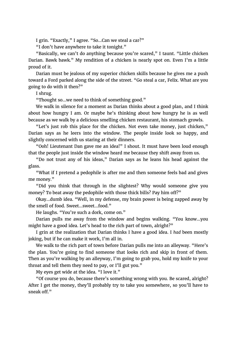I grin. "Exactly," I agree. "So…Can we steal a car?"

"I don't have anywhere to take it tonight."

"Basically, we can't do anything because you're scared," I taunt. "Little chicken Darian. Bawk bawk." My rendition of a chicken is nearly spot on. Even I'm a little proud of it.

Darian must be jealous of my superior chicken skills because he gives me a push toward a Ford parked along the side of the street. "Go steal a car, Felix. What are you going to do with it then?"

I shrug.

"Thought so…we need to think of something good."

We walk in silence for a moment as Darian thinks about a good plan, and I think about how hungry I am. Or maybe he's thinking about how hungry he is as well because as we walk by a delicious smelling chicken restaurant, his stomach growls.

"Let's just rob this place for the chicken. Not even take money, just chicken," Darian says as he leers into the window. The people inside look so happy, and slightly concerned with us staring at their dinners.

"Ooh! Lieutenant Dan gave me an idea!" I shout. It must have been loud enough that the people just inside the window heard me because they shift away from us.

"Do not trust any of his ideas," Darian says as he leans his head against the glass.

"What if I pretend a pedophile is after me and then someone feels bad and gives me money."

"Did you think that through in the slightest? Why would someone give you money? To beat away the pedophile with those thick bills? Pay him off?"

Okay…dumb idea. "Well, in my defense, my brain power is being zapped away by the smell of food. Sweet…sweet…food."

He laughs. "You're such a dork, come on."

Darian pulls me away from the window and begins walking. "You know…you might have a good idea. Let's head to the rich part of town, alright?"

I grin at the realization that Darian thinks I have a good idea. I *had* been mostly joking, but if he can make it work, I'm all in.

We walk to the rich part of town before Darian pulls me into an alleyway. "Here's the plan. You're going to find someone that looks rich and skip in front of them. Then as you're walking by an alleyway, I'm going to grab you, hold my knife to your throat and tell them they need to pay, or I'll gut you."

My eyes get wide at the idea. "I love it."

"Of course you do, because there's something wrong with you. Be scared, alright? After I get the money, they'll probably try to take you somewhere, so you'll have to sneak off<sup>"</sup>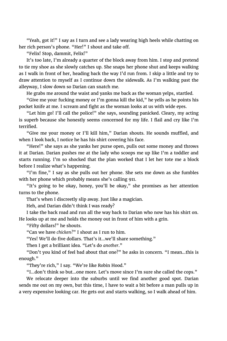"Yeah, got it!" I say as I turn and see a lady wearing high heels while chatting on her rich person's phone. "Her!" I shout and take off.

"Felix! Stop, dammit, Felix!"

It's too late, I'm already a quarter of the block away from him. I stop and pretend to tie my shoe as she slowly catches up. She snaps her phone shut and keeps walking as I walk in front of her, heading back the way I'd run from. I skip a little and try to draw attention to myself as I continue down the sidewalk. As I'm walking past the alleyway, I slow down so Darian can snatch me.

He grabs me around the waist and yanks me back as the woman yelps, startled.

"Give me your fucking money or I'm gonna kill the kid," he yells as he points his pocket knife at me. I scream and fight as the woman looks at us with wide eyes.

"Let him go! I'll call the police!" she says, sounding panicked. Cleary, my acting is superb because she honestly seems concerned for my life. I flail and cry like I'm terrified.

"Give me your money or I'll kill him," Darian shouts. He sounds muffled, and when I look back, I notice he has his shirt covering his face.

"Here!" she says as she yanks her purse open, pulls out some money and throws it at Darian. Darian pushes me at the lady who scoops me up like I'm a toddler and starts running. I'm so shocked that the plan worked that I let her tote me a block before I realize what's happening.

"I'm fine," I say as she pulls out her phone. She sets me down as she fumbles with her phone which probably means she's calling 911.

"It's going to be okay, honey, you'll be okay," she promises as her attention turns to the phone.

That's when I discreetly slip away. Just like a magician.

Heh, and Darian didn't think I was ready?

I take the back road and run all the way back to Darian who now has his shirt on. He looks up at me and holds the money out in front of him with a grin.

"Fifty dollars!" he shouts.

"Can we have *chicken?*" I shout as I run to him.

"Yes! We'll do five dollars. That's it…we'll share something."

Then I get a brilliant idea. "Let's do *another*."

"Don't you kind of feel bad about that one?" he asks in concern. "I mean…this is enough."

"They're rich," I say. "We're like Robin Hood."

"I…don't think so but…one more. Let's move since I'm sure she called the cops."

We relocate deeper into the suburbs until we find another good spot. Darian sends me out on my own, but this time, I have to wait a bit before a man pulls up in a very expensive looking car. He gets out and starts walking, so I walk ahead of him.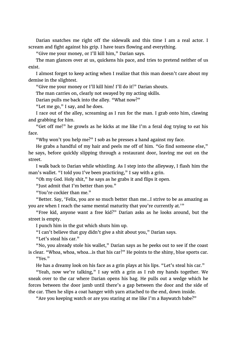Darian snatches me right off the sidewalk and this time I am a real actor. I scream and fight against his grip. I have tears flowing and everything.

"Give me your money, or I'll kill him," Darian says.

The man glances over at us, quickens his pace, and tries to pretend neither of us exist.

I almost forget to keep acting when I realize that this man doesn't care about my demise in the slightest.

"Give me your money or I'll kill him! I'll do it!" Darian shouts.

The man carries on, clearly not swayed by my acting skills.

Darian pulls me back into the alley. "What now?"

"Let me go," I say, and he does.

I race out of the alley, screaming as I run for the man. I grab onto him, clawing and grabbing for him.

"Get off me!" he growls as he kicks at me like I'm a feral dog trying to eat his face.

"Why won't you help me?" I sob as he presses a hand against my face.

He grabs a handful of my hair and peels me off of him. "Go find someone else," he says, before quickly slipping through a restaurant door, leaving me out on the street.

I walk back to Darian while whistling. As I step into the alleyway, I flash him the man's wallet. "I told you I've been practicing," I say with a grin.

"Oh my God. Holy shit," he says as he grabs it and flips it open.

"Just admit that I'm better than you."

"You're cockier than me."

"Better. Say, 'Felix, you are so much better than me…I strive to be as amazing as you are when I reach the same mental maturity that you're currently at.'"

"Free kid, anyone want a free kid?" Darian asks as he looks around, but the street is empty.

I punch him in the gut which shuts him up.

"I can't believe that guy didn't give a shit about you," Darian says.

"Let's steal his car."

"No, you already stole his wallet," Darian says as he peeks out to see if the coast is clear. "Whoa, whoa, whoa…is that his car?" He points to the shiny, blue sports car. "Yes."

He has a dreamy look on his face as a grin plays at his lips. "Let's steal his car."

"Yeah, now we're talking," I say with a grin as I rub my hands together. We sneak over to the car where Darian opens his bag. He pulls out a wedge which he forces between the door jamb until there's a gap between the door and the side of the car. Then he slips a coat hanger with yarn attached to the end, down inside.

"Are you keeping watch or are you staring at me like I'm a Baywatch babe?"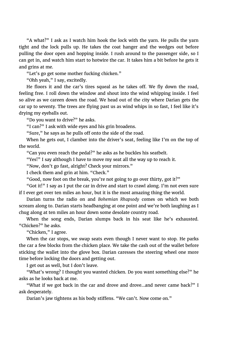"A what?" I ask as I watch him hook the lock with the yarn. He pulls the yarn tight and the lock pulls up. He takes the coat hanger and the wedges out before pulling the door open and hopping inside. I rush around to the passenger side, so I can get in, and watch him start to hotwire the car. It takes him a bit before he gets it and grins at me.

"Let's go get some mother fucking chicken."

"Ohh yeah," I say, excitedly.

He floors it and the car's tires squeal as he takes off. We fly down the road, feeling free. I roll down the window and shout into the wind whipping inside. I feel so alive as we careen down the road. We head out of the city where Darian gets the car up to seventy. The trees are flying past us as wind whips in so fast, I feel like it's drying my eyeballs out.

"Do you want to drive?" he asks.

"I can?" I ask with wide eyes and his grin broadens.

"Sure," he says as he pulls off onto the side of the road.

When he gets out, I clamber into the driver's seat, feeling like I'm on the top of the world.

"Can you even reach the pedal?" he asks as he buckles his seatbelt.

"Yes!" I say although I have to move my seat all the way up to reach it.

"Now, don't go fast, alright? Check your mirrors."

I check them and grin at him. "Check."

"Good, now foot on the break, you're not going to go over thirty, got it?"

"Got it!" I say as I put the car in drive and start to crawl along. I'm not even sure if I ever get over ten miles an hour, but it is the most amazing thing the world.

Darian turns the radio on and *Bohemian Rhapsody* comes on which we both scream along to. Darian starts headbanging at one point and we're both laughing as I chug along at ten miles an hour down some desolate country road.

When the song ends, Darian slumps back in his seat like he's exhausted. "Chicken?" he asks.

"Chicken," I agree.

When the car stops, we swap seats even though I never want to stop. He parks the car a few blocks from the chicken place. We take the cash out of the wallet before sticking the wallet into the glove box. Darian caresses the steering wheel one more time before locking the doors and getting out.

I get out as well, but I don't leave.

"What's wrong? I thought you wanted chicken. Do you want something else?" he asks as he looks back at me.

"What if we got back in the car and drove and drove…and never came back?" I ask desperately.

Darian's jaw tightens as his body stiffens. "We can't. Now come on."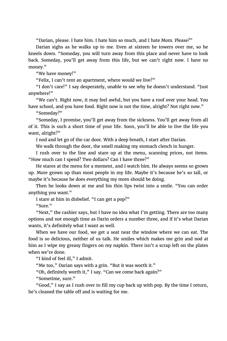"Darian, please. I hate him. I hate him so much, and I hate Mom. Please?"

Darian sighs as he walks up to me. Even at sixteen he towers over me, so he kneels down. "Someday, you will turn away from this place and never have to look back. Someday, you'll get away from this life, but we can't right now. I have no money."

"We have money!"

"Felix, I can't rent an apartment, where would we live?"

"I don't care!" I say desperately, unable to see why he doesn't understand. "Just anywhere!"

"We can't. Right now, it may feel awful, but you have a roof over your head. You have school, and you have food. Right now is not the time, alright? Not right now."

"Someday?"

"Someday, I promise, you'll get away from the sickness. You'll get away from all of it. This is such a short time of your life. Soon, you'll be able to live the life you want, alright?"

I nod and let go of the car door. With a deep breath, I start after Darian.

We walk through the door, the smell making my stomach clench in hunger.

I rush over to the line and stare up at the menu, scanning prices, not items. "How much can I spend? Two dollars? Can I have three?"

He stares at the menu for a moment, and I watch him. He always seems so grown up. More grown up than most people in my life. Maybe it's because he's so tall, or maybe it's because he does everything my mom should be doing.

Then he looks down at me and his thin lips twist into a smile. "You can order anything you want."

I stare at him in disbelief. "I can get a pop?"

"Sure"

"Next," the cashier says, but I have no idea what I'm getting. There are too many options and not enough time as Darin orders a number three, and if it's what Darian wants, it's definitely what I want as well.

When we have our food, we get a seat near the window where we can eat. The food is so delicious, neither of us talk. He smiles which makes me grin and nod at him as I wipe my greasy fingers on my napkin. There isn't a scrap left on the plates when we're done.

"I kind of feel ill," I admit.

"Me too," Darian says with a grin. "But it was worth it."

"Oh, definitely worth it," I say. "Can we come back again?"

"Sometime, sure."

"Good," I say as I rush over to fill my cup back up with pop. By the time I return, he's cleaned the table off and is waiting for me.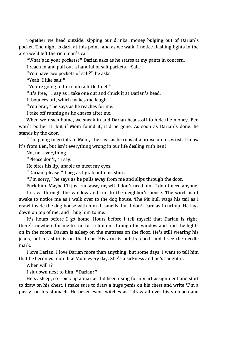Together we head outside, sipping our drinks, money bulging out of Darian's pocket. The night is dark at this point, and as we walk, I notice flashing lights in the area we'd left the rich man's car.

"What's in your pockets?" Darian asks as he stares at my pants in concern.

I reach in and pull out a handful of salt packets. "Salt."

"You have two pockets of salt?" he asks.

"Yeah, I like salt."

"You're going to turn into a little thief."

"It's free," I say as I take one out and chuck it at Darian's head.

It bounces off, which makes me laugh.

"You brat," he says as he reaches for me.

I take off running as he chases after me.

When we reach home, we sneak in and Darian heads off to hide the money. Ben won't bother it, but if Mom found it, it'd be gone. As soon as Darian's done, he stands by the door.

"I'm going to go talk to Mom," he says as he rubs at a bruise on his wrist. I know it's from Ben, but isn't everything wrong in our life dealing with Ben?

No, not everything.

"Please don't," I say.

He bites his lip, unable to meet my eyes.

"Darian, please," I beg as I grab onto his shirt.

"I'm sorry," he says as he pulls away from me and slips through the door.

Fuck him. Maybe I'll just run away myself. I don't need him. I don't need anyone.

I crawl through the window and run to the neighbor's house. The witch isn't awake to notice me as I walk over to the dog house. The Pit Bull wags his tail as I crawl inside the dog house with him. It smells, but I don't care as I curl up. He lays down on top of me, and I hug him to me.

It's hours before I go home. Hours before I tell myself that Darian is right, there's nowhere for me to run to. I climb in through the window and find the lights on in the room. Darian is asleep on the mattress on the floor. He's still wearing his jeans, but his shirt is on the floor. His arm is outstretched, and I see the needle mark.

I love Darian. I love Darian more than anything, but some days, I want to tell him that he becomes more like Mom every day. She's a sickness and he's caught it.

When will I?

I sit down next to him. "Darian?"

He's asleep, so I pick up a marker I'd been using for my art assignment and start to draw on his chest. I make sure to draw a huge penis on his chest and write 'I'm a pussy' on his stomach. He never even twitches as I draw all over his stomach and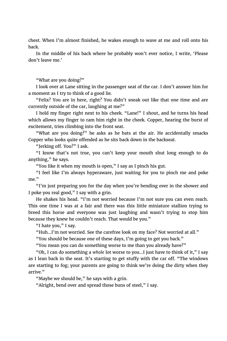chest. When I'm almost finished, he wakes enough to wave at me and roll onto his back.

In the middle of his back where he probably won't ever notice, I write, 'Please don't leave me.'

"What are you doing?"

I look over at Lane sitting in the passenger seat of the car. I don't answer him for a moment as I try to think of a good lie.

"Felix? You are in here, right? You didn't sneak out like that one time and are currently outside of the car, laughing at me?"

I hold my finger right next to his cheek. "Lane!" I shout, and he turns his head which allows my finger to ram him right in the cheek. Copper, hearing the burst of excitement, tries climbing into the front seat.

"What are you doing?" he asks as he bats at the air. He accidentally smacks Copper who looks quite offended as he sits back down in the backseat.

"Jerking off. You?" I ask.

"I know that's not true, you can't keep your mouth shut long enough to do anything," he says.

"You like it when my mouth is open," I say as I pinch his gut.

"I feel like I'm always hyperaware, just waiting for you to pinch me and poke me."

"I'm just preparing you for the day when you're bending over in the shower and I poke you real good," I say with a grin.

He shakes his head. "I'm not worried because I'm not sure you can even reach. This one time I was at a fair and there was this little miniature stallion trying to breed this horse and everyone was just laughing and wasn't trying to stop him because they knew he couldn't reach. That would be you."

"I hate you," I say.

"Huh…I'm not worried. See the carefree look on my face? Not worried at all."

"You should be because one of these days, I'm going to get you back."

"You mean you can do something worse to me than you already have?"

"Oh, I can do something a *whole* lot worse to you…I just have to think of it," I say as I lean back in the seat. It's starting to get stuffy with the car off. "The windows are starting to fog; your parents are going to think we're doing the dirty when they arrive."

"Maybe we should be," he says with a grin.

"Alright, bend over and spread those buns of steel," I say.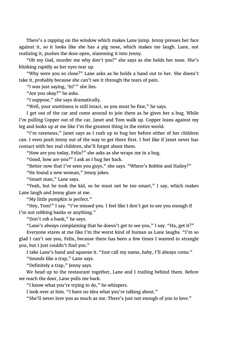There's a rapping on the window which makes Lane jump. Jenny presses her face against it, so it looks like she has a pig nose, which makes me laugh. Lane, not realizing it, pushes the door open, slamming it into Jenny.

"Oh my God, murder me why don't you!" she says as she holds her nose. She's blinking rapidly as her eyes tear up.

"Why were you so close?" Lane asks as he holds a hand out to her. She doesn't take it, probably because she can't see it through the tears of pain.

"I was just saying, 'hi!'" she lies.

"Are you okay?" he asks.

"I suppose," she says dramatically.

"Well, your snottiness is still intact, so you must be fine," he says.

I get out of the car and come around to join them as he gives her a hug. While I'm pulling Copper out of the car, Janet and Tom walk up. Copper leans against my leg and looks up at me like I'm the greatest thing in the entire world.

"I'm ravenous," Janet says as I rush up to hug her before either of her children can. I even push Jenny out of the way to get there first. I feel like if Janet never has contact with her real children, she'll forget about them.

"How are you today, Felix?" she asks as she wraps me in a hug.

"Good, how are you?" I ask as I hug her back.

"Better now that I've seen you guys," she says. "Where's Robbie and Hailey?"

"He found a new woman," Jenny jokes.

"Smart man," Lane says.

"Yeah, but he took the kid, so he must not be too smart," I say, which makes Lane laugh and Jenny glare at me.

"My little pumpkin is perfect."

"Hey, Tom!" I say. "I've missed you. I feel like I don't get to see you enough if I'm not robbing banks or anything."

"Don't rob a bank," he says.

"Lane's always complaining that he doesn't get to see you," I say. "Ha, get it?" Everyone stares at me like I'm the worst kind of human as Lane laughs. "I'm so glad I can't see you, Felix, because there has been a few times I wanted to strangle you, but I just couldn't find you."

I take Lane's hand and squeeze it. "Just call my name, baby, I'll always come."

"Sounds like a trap," Lane says.

"Definitely a trap," Jenny says.

We head up to the restaurant together, Lane and I trailing behind them. Before we reach the door, Lane pulls me back.

"I know what you're trying to do," he whispers.

I look over at him. "I have no idea what you're talking about."

"She'll never love you as much as me. There's just not enough of you to love."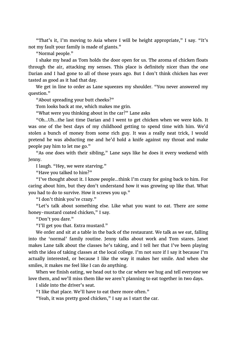"That's it, I'm moving to Asia where I will be height appropriate," I say. "It's not my fault your family is made of giants."

"Normal people."

I shake my head as Tom holds the door open for us. The aroma of chicken floats through the air, attacking my senses. This place is definitely nicer than the one Darian and I had gone to all of those years ago. But I don't think chicken has ever tasted as good as it had that day.

We get in line to order as Lane squeezes my shoulder. "You never answered my question."

"About spreading your butt cheeks?"

Tom looks back at me, which makes me grin.

"What were you thinking about in the car?" Lane asks

"Oh…Uh…the last time Darian and I went to get chicken when we were kids. It was one of the best days of my childhood getting to spend time with him. We'd stolen a bunch of money from some rich guy. It was a really neat trick, I would pretend he was abducting me and he'd hold a knife against my throat and make people pay him to let me go."

"As one does with their sibling," Lane says like he does it every weekend with Jenny.

I laugh. "Hey, we were starving."

"Have you talked to him?"

"I've thought about it. I know people…think I'm crazy for going back to him. For caring about him, but they don't understand how it was growing up like that. What you had to do to survive. How it screws you up."

"I don't think you're crazy."

"Let's talk about something else. Like what you want to eat. There are some honey-mustard coated chicken," I say.

"Don't you dare."

"I'll get you that. Extra mustard."

We order and sit at a table in the back of the restaurant. We talk as we eat, falling into the 'normal' family routine. Jenny talks about work and Tom stares. Janet makes Lane talk about the classes he's taking, and I tell her that I've been playing with the idea of taking classes at the local college. I'm not sure if I say it because I'm actually interested, or because I like the way it makes her smile. And when she smiles, it makes me feel like I can do anything.

When we finish eating, we head out to the car where we hug and tell everyone we love them, and we'll miss them like we aren't planning to eat together in two days.

I slide into the driver's seat.

"I like that place. We'll have to eat there more often."

"Yeah, it was pretty good chicken," I say as I start the car.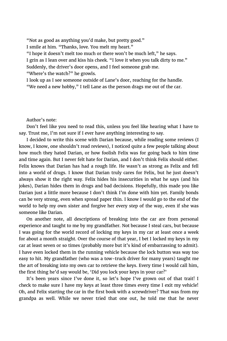"Not as good as anything you'd make, but pretty good."

I smile at him. "Thanks, love. You melt my heart."

"I hope it doesn't melt too much or there won't be much left," he says.

I grin as I lean over and kiss his cheek. "I love it when you talk dirty to me."

Suddenly, the driver's door opens, and I feel someone grab me.

"Where's the watch?" he growls.

I look up as I see someone outside of Lane's door, reaching for the handle. "We need a new hobby," I tell Lane as the person drags me out of the car.

Author's note:

Don't feel like you need to read this, unless you feel like hearing what I have to say. Trust me, I'm not sure if I ever have anything interesting to say.

I decided to write this scene with Darian because, while reading some reviews (I know, I know, one shouldn't read reviews), I noticed quite a few people talking about how much they hated Darian, or how foolish Felix was for going back to him time and time again. But I never felt hate for Darian, and I don't think Felix should either. Felix knows that Darian has had a rough life. He wasn't as strong as Felix and fell into a world of drugs. I know that Darian truly cares for Felix, but he just doesn't always show it the right way. Felix hides his insecurities in what he says (and his jokes), Darian hides them in drugs and bad decisions. Hopefully, this made you like Darian just a little more because I don't think I'm done with him yet. Family bonds can be very strong, even when spread paper thin. I know I would go to the end of the world to help my own sister and forgive her every step of the way, even if she was someone like Darian.

On another note, all descriptions of breaking into the car are from personal experience and taught to me by my grandfather. Not because I steal cars, but because I was going for the world record of locking my keys in my car at least once a week for about a month straight. Over the course of that year, I bet I locked my keys in my car at least seven or so times (probably more but it's kind of embarrassing to admit). I have even locked them in the running vehicle because the lock button was way too easy to hit. My grandfather (who was a tow-truck driver for many years) taught me the art of breaking into my own car to retrieve the keys. Every time I would call him, the first thing he'd say would be, 'Did you lock your keys in your car?'

It's been years since I've done it, so let's hope I've grown out of that trait! I check to make sure I have my keys at least three times every time I exit my vehicle! Oh, and Felix starting the car in the first book with a screwdriver? That was from my grandpa as well. While we never tried that one out, he told me that he never